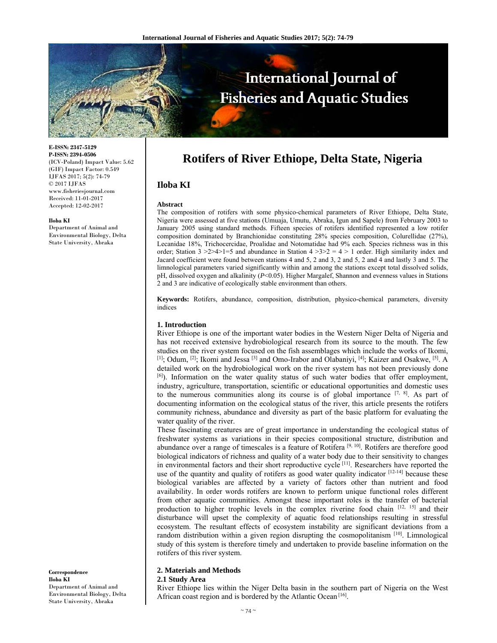

**E-ISSN: 2347-5129 P-ISSN: 2394-0506**  (ICV-Poland) Impact Value: 5.62 (GIF) Impact Factor: 0.549 IJFAS 2017; 5(2): 74-79  $\odot$  2017 IJFAS www.fisheriesjournal.com Received: 11-01-2017 Accepted: 12-02-2017

#### **Iloba KI**

Department of Animal and Environmental Biology, Delta State University, Abraka

**Correspondence Iloba KI**  Department of Animal and Environmental Biology, Delta State University, Abraka

# **Rotifers of River Ethiope, Delta State, Nigeria**

# **Iloba KI**

#### **Abstract**

The composition of rotifers with some physico-chemical parameters of River Ethiope, Delta State, Nigeria were assessed at five stations (Umuaja, Umutu, Abraka, Igun and Sapele) from February 2003 to January 2005 using standard methods. Fifteen species of rotifers identified represented a low rotifer composition dominated by Branchionidae constituting 28% species composition, Colurellidae (27%), Lecanidae 18%, Trichocercidae, Proalidae and Notomatidae had 9% each. Species richness was in this order; Station  $3 > 2 > 4 > 1 = 5$  and abundance in Station  $4 > 3 > 2 = 4 > 1$  order. High similarity index and Jacard coefficient were found between stations 4 and 5, 2 and 3, 2 and 5, 2 and 4 and lastly 3 and 5. The limnological parameters varied significantly within and among the stations except total dissolved solids, pH, dissolved oxygen and alkalinity ( $P<0.05$ ). Higher Margalef, Shannon and evenness values in Stations 2 and 3 are indicative of ecologically stable environment than others.

**Keywords:** Rotifers, abundance, composition, distribution, physico-chemical parameters, diversity indices

# **1. Introduction**

River Ethiope is one of the important water bodies in the Western Niger Delta of Nigeria and has not received extensive hydrobiological research from its source to the mouth. The few studies on the river system focused on the fish assemblages which include the works of Ikomi, [1]; Odum, [2]; Ikomi and Jessa [3] and Omo-Irabor and Olabaniyi, [4]; Kaizer and Osakwe, [5]. A detailed work on the hydrobiological work on the river system has not been previously done  $[6]$ ). Information on the water quality status of such water bodies that offer employment, industry, agriculture, transportation, scientific or educational opportunities and domestic uses to the numerous communities along its course is of global importance  $[7, 8]$ . As part of documenting information on the ecological status of the river, this article presents the rotifers community richness, abundance and diversity as part of the basic platform for evaluating the water quality of the river.

These fascinating creatures are of great importance in understanding the ecological status of freshwater systems as variations in their species compositional structure, distribution and abundance over a range of timescales is a feature of Rotifera<sup>[9, 10]</sup>. Rotifers are therefore good biological indicators of richness and quality of a water body due to their sensitivity to changes in environmental factors and their short reproductive cycle [11]. Researchers have reported the use of the quantity and quality of rotifers as good water quality indicator [12-14] because these biological variables are affected by a variety of factors other than nutrient and food availability. In order words rotifers are known to perform unique functional roles different from other aquatic communities. Amongst these important roles is the transfer of bacterial production to higher trophic levels in the complex riverine food chain [12, 15] and their disturbance will upset the complexity of aquatic food relationships resulting in stressful ecosystem. The resultant effects of ecosystem instability are significant deviations from a random distribution within a given region disrupting the cosmopolitanism  $[10]$ . Limnological study of this system is therefore timely and undertaken to provide baseline information on the rotifers of this river system.

# **2. Materials and Methods**

#### **2.1 Study Area**

River Ethiope lies within the Niger Delta basin in the southern part of Nigeria on the West African coast region and is bordered by the Atlantic Ocean<sup>[16]</sup>.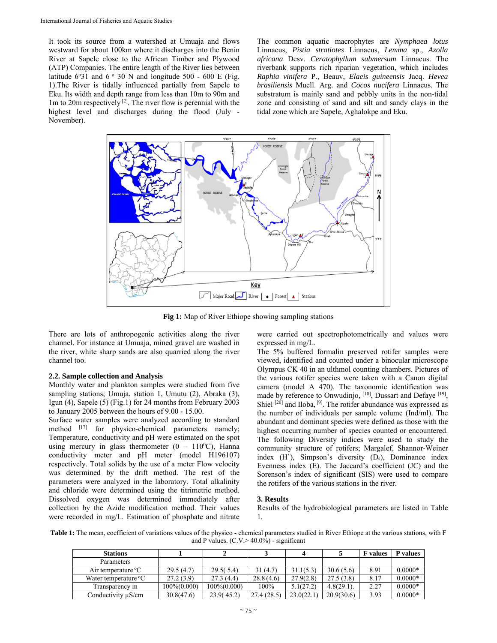It took its source from a watershed at Umuaja and flows westward for about 100km where it discharges into the Benin River at Sapele close to the African Timber and Plywood (ATP) Companies. The entire length of the River lies between latitude  $6°31$  and  $6°30$  N and longitude  $500 - 600$  E (Fig. 1).The River is tidally influenced partially from Sapele to Eku. Its width and depth range from less than 10m to 90m and  $1m$  to  $20m$  respectively <sup>[2]</sup>. The river flow is perennial with the highest level and discharges during the flood (July - November).

The common aquatic macrophytes are *Nymphaea lotus* Linnaeus, *Pistia stratiotes* Linnaeus, *Lemma* sp., *Azolla africana* Desv. *Ceratophyllum submersum* Linnaeus. The riverbank supports rich riparian vegetation, which includes *Raphia vinifera* P., Beauv, *Elaeis guineensis* Jacq. *Hevea brasiliensis* Muell. Arg. and *Cocos nucifera* Linnaeus. The substratum is mainly sand and pebbly units in the non-tidal zone and consisting of sand and silt and sandy clays in the tidal zone which are Sapele, Aghalokpe and Eku.



**Fig 1:** Map of River Ethiope showing sampling stations

There are lots of anthropogenic activities along the river channel. For instance at Umuaja, mined gravel are washed in the river, white sharp sands are also quarried along the river channel too.

# **2.2. Sample collection and Analysis**

Monthly water and plankton samples were studied from five sampling stations; Umuja, station 1, Umutu (2), Abraka (3), Igun (4), Sapele (5) (Fig.1) for 24 months from February 2003 to January 2005 between the hours of 9.00 - 15.00.

Surface water samples were analyzed according to standard method [17] for physico-chemical parameters namely; Temperature, conductivity and pH were estimated on the spot using mercury in glass thermometer  $(0 - 110^{0}C)$ , Hanna conductivity meter and pH meter (model H196107) respectively. Total solids by the use of a meter Flow velocity was determined by the drift method. The rest of the parameters were analyzed in the laboratory. Total alkalinity and chloride were determined using the titrimetric method. Dissolved oxygen was determined immediately after collection by the Azide modification method. Their values were recorded in mg/L. Estimation of phosphate and nitrate

were carried out spectrophotometrically and values were expressed in mg/L.

The 5% buffered formalin preserved rotifer samples were viewed, identified and counted under a binocular microscope Olympus CK 40 in an ulthmol counting chambers. Pictures of the various rotifer species were taken with a Canon digital camera (model A 470). The taxonomic identification was made by reference to Onwudinjo, [18], Dussart and Defaye [19], Shiel <sup>[20]</sup> and Iloba, <sup>[9]</sup>. The rotifer abundance was expressed as the number of individuals per sample volume (Ind/ml). The abundant and dominant species were defined as those with the highest occurring number of species counted or encountered. The following Diversity indices were used to study the community structure of rotifers; Margalef, Shannor-Weiner index  $(H')$ , Simpson's diversity  $(D_s)$ , Dominance index Evenness index (E). The Jaccard's coefficient (JC) and the Sorenson's index of significant (SIS) were used to compare the rotifers of the various stations in the river.

# **3. Results**

Results of the hydrobiological parameters are listed in Table 1.

**Table 1:** The mean, coefficient of variations values of the physico - chemical parameters studied in River Ethiope at the various stations, with F and P values.  $(C.V. > 40.0\%)$  - significant

| <b>Stations</b>                    |             |                   |            |            |            | <b>F</b> values | <b>P</b> values |
|------------------------------------|-------------|-------------------|------------|------------|------------|-----------------|-----------------|
| Parameters                         |             |                   |            |            |            |                 |                 |
| Air temperature $\rm{^{\circ}C}$   | 29.5(4.7)   | 29.5(5.4)         | 31(4.7)    | 31.1(5.3)  | 30.6(5.6)  | 8.91            | $0.0000*$       |
| Water temperature $\rm{^{\circ}C}$ | 27.2(3.9)   | 27.3(4.4)         | 28.8(4.6)  | 27.9(2.8)  | 27.5(3.8)  | 8.17            | $0.0000*$       |
| Transparency m                     | 100%(0.000) | $100\%$ $(0.000)$ | 100%       | 5.1(27.2)  | 4.8(29.1)  | 2.27            | $0.0000*$       |
| Conductivity $\mu$ S/cm            | 30.8(47.6)  | 23.9(45.2)        | 27.4(28.5) | 23.0(22.1) | 20.9(30.6) | 3.93            | $0.0000*$       |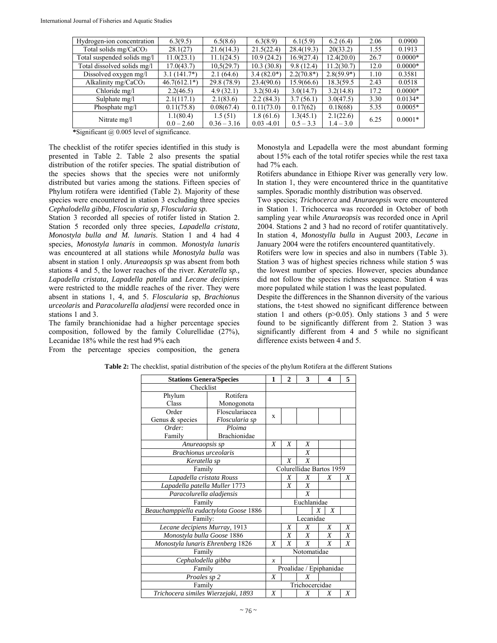| Hydrogen-ion concentration        | 6.3(9.5)       | 6.5(8.6)      | 6.3(8.9)      | 6.1(5.9)      | 6.2(6.4)     | 2.06 | 0.0900    |
|-----------------------------------|----------------|---------------|---------------|---------------|--------------|------|-----------|
| Total solids mg/CaCO <sub>3</sub> | 28.1(27)       | 21.6(14.3)    | 21.5(22.4)    | 28.4(19.3)    | 20(33.2)     | 1.55 | 0.1913    |
| Total suspended solids mg/l       | 11.0(23.1)     | 11.1(24.5)    | 10.9(24.2)    | 16.9(27.4)    | 12.4(20.0)   | 26.7 | $0.0000*$ |
| Total dissolved solids mg/l       | 17.0(43.7)     | 10,5(29.7)    | 10.3(30.8)    | 9.8(12.4)     | 11.2(30.7)   | 12.0 | $0.0000*$ |
| Dissolved oxygen mg/l             | $3.1(141.7*)$  | 2.1(64.6)     | $3.4(82.0*)$  | $2.2(70.8^*)$ | $2.8(59.9*)$ | 1.10 | 0.3581    |
| Alkalinity mg/CaCO <sub>3</sub>   | $46.7(612.1*)$ | 29.8 (78.9)   | 23.4(90.6)    | 15.9(66.6)    | 18.3(59.5)   | 2.43 | 0.0518    |
| Chloride mg/l                     | 2.2(46.5)      | 4.9(32.1)     | 3.2(50.4)     | 3.0(14.7)     | 3.2(14.8)    | 17.2 | $0.0000*$ |
| Sulphate mg/l                     | 2.1(117.1)     | 2.1(83.6)     | 2.2(84.3)     | 3.7(56.1)     | 3.0(47.5)    | 3.30 | $0.0134*$ |
| Phosphate mg/l                    | 0.11(75.8)     | 0.08(67.4)    | 0.11(73.0)    | 0.17(62)      | 0.18(68)     | 5.35 | $0.0005*$ |
| Nitrate mg/l                      | 1.1(80.4)      | 1.5(51)       | 1.8(61.6)     | 1.3(45.1)     | 2.1(22.6)    | 6.25 | $0.0001*$ |
|                                   | $0.0 - 2.60$   | $0.36 - 3.16$ | $0.03 - 4.01$ | $0.5 - 3.3$   | $1.4 - 3.0$  |      |           |

**\***Significant @ 0.005 level of significance.

The checklist of the rotifer species identified in this study is presented in Table 2. Table 2 also presents the spatial distribution of the rotifer species. The spatial distribution of the species shows that the species were not uniformly distributed but varies among the stations. Fifteen species of Phylum rotifera were identified (Table 2). Majority of these species were encountered in station 3 excluding three species *Cephalodella gibba, Floscularia sp, Floscularia sp.* 

Station 3 recorded all species of rotifer listed in Station 2. Station 5 recorded only three species, *Lapadella cristata, Monostyla bulla and M. lunaris*. Station 1 and 4 had 4 species, *Monostyla lunaris* in common. *Monostyla lunaris*  was encountered at all stations while *Monostyla bulla* was absent in station 1 only. *Anureaopsis sp* was absent from both stations 4 and 5, the lower reaches of the river. *Keratella sp., Lapadella cristata, Lapadella patella* and *Lecane decipiens*  were restricted to the middle reaches of the river. They were absent in stations 1, 4, and 5. *Floscularia* sp*, Brachionus urceolaris* and *Paracolurella aladjensi* were recorded once in stations 1 and 3.

The family branchionidae had a higher percentage species composition, followed by the family Colurellidae (27%), Lecanidae 18% while the rest had 9% each

From the percentage species composition, the genera

Monostyla and Lepadella were the most abundant forming about 15% each of the total rotifer species while the rest taxa had 7% each.

Rotifers abundance in Ethiope River was generally very low. In station 1, they were encountered thrice in the quantitative samples. Sporadic monthly distribution was observed.

Two species; *Trichocerca* and *Anuraeopsis* were encountered in Station 1. Trichocerca was recorded in October of both sampling year while *Anuraeopsis* was recorded once in April 2004. Stations 2 and 3 had no record of rotifer quantitatively. In station 4, *Monostylla bulla* in August 2003, *Lecane* in January 2004 were the rotifers encountered quantitatively.

Rotifers were low in species and also in numbers (Table 3). Station 3 was of highest species richness while station 5 was the lowest number of species. However, species abundance did not follow the species richness sequence. Station 4 was more populated while station 1 was the least populated.

Despite the differences in the Shannon diversity of the various stations, the t-test showed no significant difference between station 1 and others ( $p > 0.05$ ). Only stations 3 and 5 were found to be significantly different from 2. Station 3 was significantly different from 4 and 5 while no significant difference exists between 4 and 5.

| <b>Stations Genera/Species</b>         | 1              | 2                        | 3              | 4 | 5                     |   |  |
|----------------------------------------|----------------|--------------------------|----------------|---|-----------------------|---|--|
| Checklist                              |                |                          |                |   |                       |   |  |
| Rotifera<br>Phylum                     |                |                          |                |   |                       |   |  |
| Class<br>Monogonota                    |                |                          |                |   |                       |   |  |
| Order                                  | Flosculariacea | $\mathbf x$              |                |   |                       |   |  |
| Genus & species                        | Floscularia sp |                          |                |   |                       |   |  |
| Ploima<br>Order:                       |                |                          |                |   |                       |   |  |
| <b>Brachionidae</b><br>Family          |                |                          |                |   |                       |   |  |
| Anureaopsis sp                         |                | X                        | X              | X |                       |   |  |
| <b>Brachionus</b> urceolaris           |                |                          |                | X |                       |   |  |
| Keratella sp                           |                |                          | X              | X |                       |   |  |
| Family                                 |                | Colurellidae Bartos 1959 |                |   |                       |   |  |
| Lapadella cristata Rouss               |                |                          | X              | Χ | X                     | Χ |  |
| Lapadella patella Muller 1773          |                | X                        | X              |   |                       |   |  |
| Paracolurella aladjensis               |                |                          |                | X |                       |   |  |
| Family                                 |                | Euchlanidae              |                |   |                       |   |  |
| Beauchamppiella eudactylota Goose 1886 |                |                          |                |   | X<br>$\boldsymbol{X}$ |   |  |
| Family:                                |                | Lecanidae                |                |   |                       |   |  |
| Lecane decipiens Murray, 1913          |                |                          | X              | X | X                     | Χ |  |
| Monostyla bulla Goose 1886             |                |                          | X              | X | X                     | X |  |
| Monostyla lunaris Ehrenberg 1826       |                |                          | X              | X | $\boldsymbol{X}$      | X |  |
| Family                                 |                |                          | Notomatidae    |   |                       |   |  |
| Cephalodella gibba                     |                |                          |                |   |                       |   |  |
| Family                                 |                | Proalidae / Epiphanidae  |                |   |                       |   |  |
| Proales sp 2                           |                |                          |                | X |                       |   |  |
| Family                                 |                |                          | Trichocercidae |   |                       |   |  |
| Trichocera similes Wierzejaki, 1893    |                |                          |                | X | X                     | X |  |

**Table 2:** The checklist, spatial distribution of the species of the phylum Rotifera at the different Stations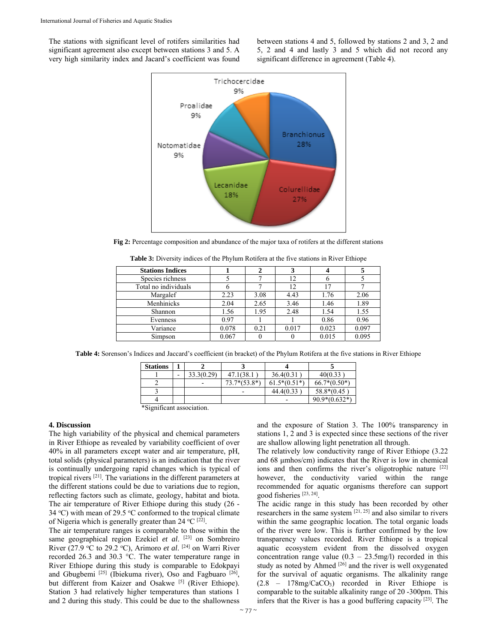The stations with significant level of rotifers similarities had significant agreement also except between stations 3 and 5. A very high similarity index and Jacard's coefficient was found between stations 4 and 5, followed by stations 2 and 3, 2 and 5, 2 and 4 and lastly 3 and 5 which did not record any significant difference in agreement (Table 4).



**Fig 2:** Percentage composition and abundance of the major taxa of rotifers at the different stations

| <b>Stations Indices</b> |       | 2    |       |       |       |
|-------------------------|-------|------|-------|-------|-------|
| Species richness        |       |      | 12    |       |       |
| Total no individuals    |       |      | 12    | 17    |       |
| Margalef                | 2.23  | 3.08 | 4.43  | 1.76  | 2.06  |
| Menhinicks              | 2.04  | 2.65 | 3.46  | 1.46  | 1.89  |
| Shannon                 | 1.56  | 1.95 | 2.48  | 1.54  | 1.55  |
| Evenness                | 0.97  |      |       | 0.86  | 0.96  |
| Variance                | 0.078 | 0.21 | 0.017 | 0.023 | 0.097 |
| Simpson                 | 0.067 |      |       | 0.015 | 0.095 |

**Table 3:** Diversity indices of the Phylum Rotifera at the five stations in River Ethiope

**Table 4:** Sorenson's Indices and Jaccard's coefficient (in bracket) of the Phylum Rotifera at the five stations in River Ethiope

| <b>Stations</b>        |   |            |                |                |                 |
|------------------------|---|------------|----------------|----------------|-----------------|
|                        | - | 33.3(0.29) | 47.1(38.1)     | 36.4(0.31)     | 40(0.33)        |
|                        |   | -          | $73.7*(53.8*)$ | $61.5*(0.51*)$ | $66.7*(0.50*)$  |
|                        |   |            |                | 44.4(0.33)     | 58.8*(0.45      |
|                        |   |            |                |                | $90.9*(0.632*)$ |
| $\cdot$ $\sim$<br>2.01 |   |            |                |                |                 |

\*Significant association.

# **4. Discussion**

The high variability of the physical and chemical parameters in River Ethiope as revealed by variability coefficient of over 40% in all parameters except water and air temperature, pH, total solids (physical parameters) is an indication that the river is continually undergoing rapid changes which is typical of tropical rivers [21]. The variations in the different parameters at the different stations could be due to variations due to region, reflecting factors such as climate, geology, habitat and biota. The air temperature of River Ethiope during this study (26 - 34 °C) with mean of 29.5 °C conformed to the tropical climate of Nigeria which is generally greater than 24  $^{\circ}$ C <sup>[22]</sup>.

The air temperature ranges is comparable to those within the same geographical region Ezekiel *et al*. [23] on Sombreiro River (27.9 °C to 29.2 °C), Arimoro *et al.* <sup>[24]</sup> on Warri River recorded 26.3 and 30.3 °C. The water temperature range in River Ethiope during this study is comparable to Edokpayi and Gbugbemi<sup>[25]</sup> (Ibiekuma river), Oso and Fagbuaro<sup>[26]</sup>, but different from Kaizer and Osakwe [5] (River Ethiope). Station 3 had relatively higher temperatures than stations 1 and 2 during this study. This could be due to the shallowness

and the exposure of Station 3. The 100% transparency in stations 1, 2 and 3 is expected since these sections of the river are shallow allowing light penetration all through.

The relatively low conductivity range of River Ethiope (3.22 and 68 μmhos/cm) indicates that the River is low in chemical ions and then confirms the river's oligotrophic nature [22] however, the conductivity varied within the range recommended for aquatic organisms therefore can support good fisheries [23, 24].

The acidic range in this study has been recorded by other researchers in the same system [21, 25] and also similar to rivers within the same geographic location. The total organic loads of the river were low. This is further confirmed by the low transparency values recorded. River Ethiope is a tropical aquatic ecosystem evident from the dissolved oxygen concentration range value  $(0.3 - 23.5 \text{mg/l})$  recorded in this study as noted by Ahmed <sup>[26]</sup> and the river is well oxygenated for the survival of aquatic organisms. The alkalinity range (2.8 – 178mg/CaCO3) recorded in River Ethiope is comparable to the suitable alkalinity range of 20 -300pm. This infers that the River is has a good buffering capacity [23]. The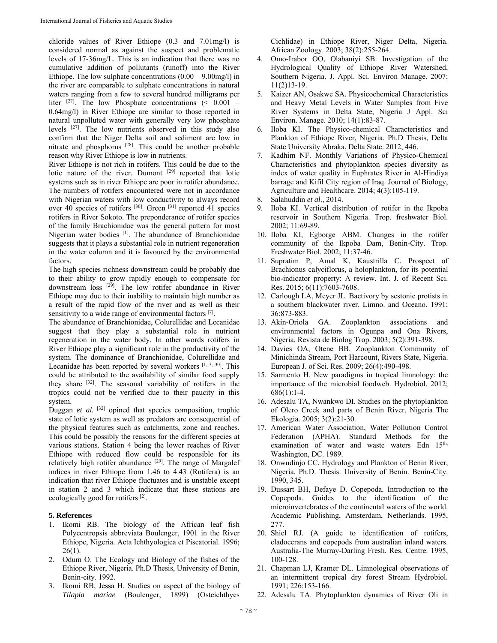chloride values of River Ethiope (0.3 and 7.01mg/l) is considered normal as against the suspect and problematic levels of 17-36mg/L. This is an indication that there was no cumulative addition of pollutants (runoff) into the River Ethiope. The low sulphate concentrations  $(0.00 - 9.00 \text{mg/l})$  in the river are comparable to sulphate concentrations in natural waters ranging from a few to several hundred milligrams per liter  $^{[27]}$ . The low Phosphate concentrations (< 0.001 – 0.64mg/l) in River Ethiope are similar to those reported in natural unpolluted water with generally very low phosphate levels [27]. The low nutrients observed in this study also confirm that the Niger Delta soil and sediment are low in nitrate and phosphorus [28]. This could be another probable reason why River Ethiope is low in nutrients.

River Ethiope is not rich in rotifers. This could be due to the lotic nature of the river. Dumont [29] reported that lotic systems such as in river Ethiope are poor in rotifer abundance. The numbers of rotifers encountered were not in accordance with Nigerian waters with low conductivity to always record over 40 species of rotifers  $[30]$ . Green  $[31]$  reported 41 species rotifers in River Sokoto. The preponderance of rotifer species of the family Brachionidae was the general pattern for most Nigerian water bodies [1]. The abundance of Branchionidae suggests that it plays a substantial role in nutrient regeneration in the water column and it is favoured by the environmental factors.

The high species richness downstream could be probably due to their ability to grow rapidly enough to compensate for downstream loss [29]. The low rotifer abundance in River Ethiope may due to their inability to maintain high number as a result of the rapid flow of the river and as well as their sensitivity to a wide range of environmental factors [7].

The abundance of Branchionidae, Colurellidae and Lecanidae suggest that they play a substantial role in nutrient regeneration in the water body. In other words rotifers in River Ethiope play a significant role in the productivity of the system. The dominance of Branchionidae, Colurellidae and Lecanidae has been reported by several workers  $[1, 3, 30]$ . This could be attributed to the availability of similar food supply they share [32]. The seasonal variability of rotifers in the tropics could not be verified due to their paucity in this system.

Duggan *et al.* <sup>[32]</sup> opined that species composition, trophic state of lotic system as well as predators are consequential of the physical features such as catchments, zone and reaches. This could be possibly the reasons for the different species at various stations. Station 4 being the lower reaches of River Ethiope with reduced flow could be responsible for its relatively high rotifer abundance  $[29]$ . The range of Margalef indices in river Ethiope from 1.46 to 4.43 (Rotifera) is an indication that river Ethiope fluctuates and is unstable except in station 2 and 3 which indicate that these stations are ecologically good for rotifers [2].

# **5. References**

- 1. Ikomi RB. The biology of the African leaf fish Polycentropsis abbreviata Boulenger, 1901 in the River Ethiope, Nigeria. Acta Ichthyologica et Piscatorial. 1996;  $26(1)$ .
- 2. Odum O. The Ecology and Biology of the fishes of the Ethiope River, Nigeria. Ph.D Thesis, University of Benin, Benin-city. 1992.
- 3. Ikomi RB, Jessa H. Studies on aspect of the biology of *Tilapia mariae* (Boulenger, 1899) (Osteichthyes

Cichlidae) in Ethiope River, Niger Delta, Nigeria. African Zoology. 2003; 38(2):255-264.

- 4. Omo-Irabor OO, Olabaniyi SB. Investigation of the Hydrological Quality of Ethiope River Watershed, Southern Nigeria. J. Appl. Sci. Environ Manage. 2007; 11(2)13-19.
- 5. Kaizer AN, Osakwe SA. Physicochemical Characteristics and Heavy Metal Levels in Water Samples from Five River Systems in Delta State, Nigeria J Appl. Sci Environ. Manage. 2010; 14(1):83-87.
- 6. Iloba KI. The Physico-chemical Characteristics and Plankton of Ethiope River, Nigeria. Ph.D Thesis, Delta State University Abraka, Delta State. 2012, 446.
- 7. Kadhim NF. Monthly Variations of Physico-Chemical Characteristics and phytoplankton species diversity as index of water quality in Euphrates River in Al-Hindiya barrage and Kifil City region of Iraq. Journal of Biology, Agriculture and Healthcare. 2014; 4(3):105-119.
- 8. Salahuddin *et al.,* 2014.
- 9. Iloba KI. Vertical distribution of rotifer in the Ikpoba reservoir in Southern Nigeria. Trop. freshwater Biol. 2002; 11:69-89.
- 10. Iloba KI, Egborge ABM. Changes in the rotifer community of the Ikpoba Dam, Benin-City. Trop. Freshwater Biol. 2002; 11:37-46.
- 11. Supratim P, Amal K, Kaustrilla C. Prospect of Brachionus calyciflorus, a holoplankton, for its potential bio-indicator property: A review. Int. J. of Recent Sci. Res. 2015; 6(11):7603-7608.
- 12. Carlough LA, Meyer JL. Bactivory by sestonic protists in a southern blackwater river. Limno. and Oceano. 1991; 36:873-883.
- 13. Akin-Oriola GA. Zooplankton associations and environmental factors in Ogunpa and Ona Rivers, Nigeria. Revista de Biolog Trop. 2003; 5(2):391-398.
- 14. Davies OA, Otene BB. Zooplankton Community of Minichinda Stream, Port Harcount, Rivers State, Nigeria. European J. of Sci. Res. 2009; 26(4):490-498.
- 15. Sarmento H. New paradigms in tropical limnology: the importance of the microbial foodweb. Hydrobiol. 2012; 686(1):1-4.
- 16. Adesalu TA, Nwankwo DI. Studies on the phytoplankton of Olero Creek and parts of Benin River, Nigeria The Ekologia. 2005; 3(2):21-30.
- 17. American Water Association, Water Pollution Control Federation (APHA). Standard Methods for the examination of water and waste waters Edn 15<sup>th,</sup> Washington, DC. 1989.
- 18. Onwudinjo CC*.* Hydrology and Plankton of Benin River, Nigeria. Ph.D. Thesis. University of Benin. Benin-City. 1990, 345.
- 19. Dussart BH, Defaye D. Copepoda. Introduction to the Copepoda. Guides to the identification of the microinvertebrates of the continental waters of the world. Academic Publishing, Amsterdam, Netherlands. 1995, 277.
- 20. Shiel RJ. (A guide to identification of rotifers, cladocerans and copepods from australian inland waters. Australia-The Murray-Darling Fresh. Res. Centre. 1995, 100-128.
- 21. Chapman LJ, Kramer DL. Limnological observations of an intermittent tropical dry forest Stream Hydrobiol. 1991; 226:153-166.
- 22. Adesalu TA. Phytoplankton dynamics of River Oli in